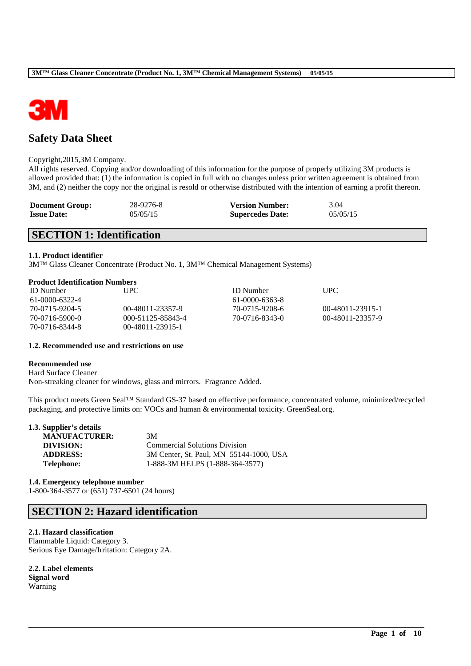

# **Safety Data Sheet**

### Copyright,2015,3M Company.

All rights reserved. Copying and/or downloading of this information for the purpose of properly utilizing 3M products is allowed provided that: (1) the information is copied in full with no changes unless prior written agreement is obtained from 3M, and (2) neither the copy nor the original is resold or otherwise distributed with the intention of earning a profit thereon.

| <b>Document Group:</b> | 28-9276-8 | <b>Version Number:</b>  | 3.04     |
|------------------------|-----------|-------------------------|----------|
| <b>Issue Date:</b>     | 05/05/15  | <b>Supercedes Date:</b> | 05/05/15 |

# **SECTION 1: Identification**

### **1.1. Product identifier**

3M™ Glass Cleaner Concentrate (Product No. 1, 3M™ Chemical Management Systems)

### **Product Identification Numbers**

| <b>ID</b> Number | UPC.                 | <b>ID</b> Number | UPC.             |
|------------------|----------------------|------------------|------------------|
| 61-0000-6322-4   |                      | 61-0000-6363-8   |                  |
| 70-0715-9204-5   | 00-48011-23357-9     | 70-0715-9208-6   | 00-48011-23915-1 |
| 70-0716-5900-0   | 000-51125-85843-4    | 70-0716-8343-0   | 00-48011-23357-9 |
| 70-0716-8344-8   | $(0)$ -48011-23915-1 |                  |                  |

### **1.2. Recommended use and restrictions on use**

### **Recommended use**

Hard Surface Cleaner Non-streaking cleaner for windows, glass and mirrors. Fragrance Added.

This product meets Green Seal™ Standard GS-37 based on effective performance, concentrated volume, minimized/recycled packaging, and protective limits on: VOCs and human & environmental toxicity. GreenSeal.org.

\_\_\_\_\_\_\_\_\_\_\_\_\_\_\_\_\_\_\_\_\_\_\_\_\_\_\_\_\_\_\_\_\_\_\_\_\_\_\_\_\_\_\_\_\_\_\_\_\_\_\_\_\_\_\_\_\_\_\_\_\_\_\_\_\_\_\_\_\_\_\_\_\_\_\_\_\_\_\_\_\_\_\_\_\_\_\_\_\_\_

| 1.3. Supplier's details |                                         |
|-------------------------|-----------------------------------------|
| <b>MANUFACTURER:</b>    | 3M                                      |
| DIVISION:               | <b>Commercial Solutions Division</b>    |
| <b>ADDRESS:</b>         | 3M Center, St. Paul, MN 55144-1000, USA |
| <b>Telephone:</b>       | 1-888-3M HELPS (1-888-364-3577)         |

**1.4. Emergency telephone number** 1-800-364-3577 or (651) 737-6501 (24 hours)

# **SECTION 2: Hazard identification**

### **2.1. Hazard classification**

Flammable Liquid: Category 3. Serious Eye Damage/Irritation: Category 2A.

**2.2. Label elements Signal word** Warning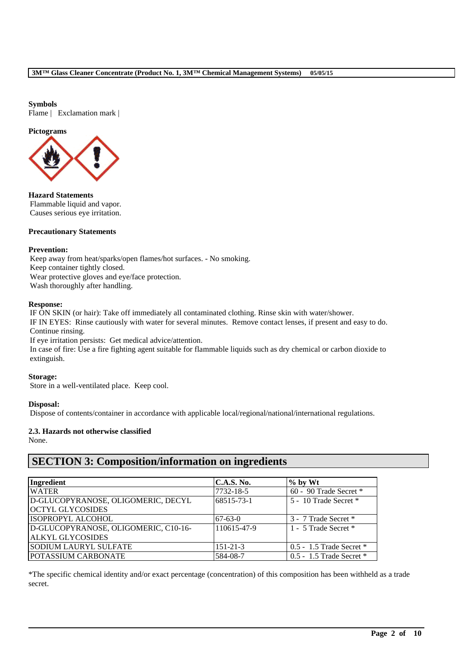### **Symbols**

Flame | Exclamation mark |

### **Pictograms**



**Hazard Statements** Flammable liquid and vapor. Causes serious eye irritation.

### **Precautionary Statements**

### **Prevention:**

Keep away from heat/sparks/open flames/hot surfaces. - No smoking. Keep container tightly closed. Wear protective gloves and eye/face protection. Wash thoroughly after handling.

### **Response:**

IF ON SKIN (or hair): Take off immediately all contaminated clothing. Rinse skin with water/shower. IF IN EYES: Rinse cautiously with water for several minutes. Remove contact lenses, if present and easy to do. Continue rinsing.

If eye irritation persists: Get medical advice/attention. In case of fire: Use a fire fighting agent suitable for flammable liquids such as dry chemical or carbon dioxide to extinguish.

### **Storage:**

Store in a well-ventilated place. Keep cool.

### **Disposal:**

Dispose of contents/container in accordance with applicable local/regional/national/international regulations.

**2.3. Hazards not otherwise classified**

None.

# **SECTION 3: Composition/information on ingredients**

| Ingredient                           | <b>C.A.S. No.</b> | $%$ by Wt                    |
|--------------------------------------|-------------------|------------------------------|
| <b>WATER</b>                         | 7732-18-5         | 60 - 90 Trade Secret *       |
| D-GLUCOPYRANOSE, OLIGOMERIC, DECYL   | 68515-73-1        | 5 - 10 Trade Secret *        |
| <b>OCTYL GLYCOSIDES</b>              |                   |                              |
| <b>ISOPROPYL ALCOHOL</b>             | $67-63-0$         | 3 - 7 Trade Secret *         |
| D-GLUCOPYRANOSE, OLIGOMERIC, C10-16- | 110615-47-9       | 1 - 5 Trade Secret *         |
| <b>ALKYL GLYCOSIDES</b>              |                   |                              |
| <b>SODIUM LAURYL SULFATE</b>         | $151 - 21 - 3$    | $0.5 - 1.5$ Trade Secret $*$ |
| <b>POTASSIUM CARBONATE</b>           | 584-08-7          | $0.5 - 1.5$ Trade Secret $*$ |

\*The specific chemical identity and/or exact percentage (concentration) of this composition has been withheld as a trade secret.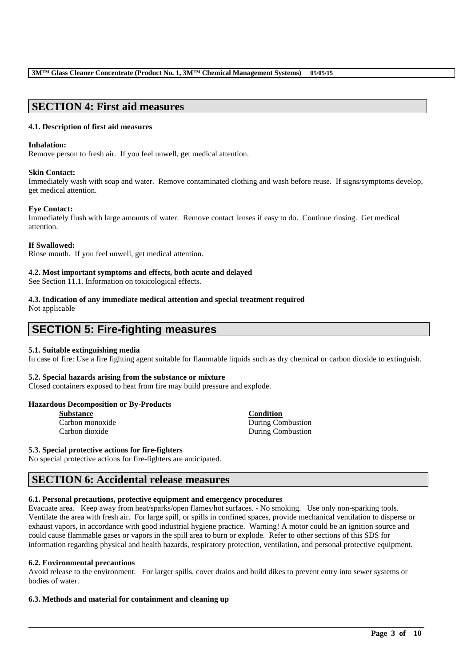# **SECTION 4: First aid measures**

### **4.1. Description of first aid measures**

### **Inhalation:**

Remove person to fresh air. If you feel unwell, get medical attention.

### **Skin Contact:**

Immediately wash with soap and water. Remove contaminated clothing and wash before reuse. If signs/symptoms develop, get medical attention.

### **Eye Contact:**

Immediately flush with large amounts of water. Remove contact lenses if easy to do. Continue rinsing. Get medical attention.

### **If Swallowed:**

Rinse mouth. If you feel unwell, get medical attention.

### **4.2. Most important symptoms and effects, both acute and delayed**

See Section 11.1. Information on toxicological effects.

# **4.3. Indication of any immediate medical attention and special treatment required**

Not applicable

# **SECTION 5: Fire-fighting measures**

### **5.1. Suitable extinguishing media**

In case of fire: Use a fire fighting agent suitable for flammable liquids such as dry chemical or carbon dioxide to extinguish.

### **5.2. Special hazards arising from the substance or mixture**

Closed containers exposed to heat from fire may build pressure and explode.

### **Hazardous Decomposition or By-Products**

| <b>Substance</b> |  |  |  |  |
|------------------|--|--|--|--|
| Carbon monoxide  |  |  |  |  |
| Carbon dioxide   |  |  |  |  |

**Condition** During Combustion During Combustion

### **5.3. Special protective actions for fire-fighters**

No special protective actions for fire-fighters are anticipated.

# **SECTION 6: Accidental release measures**

### **6.1. Personal precautions, protective equipment and emergency procedures**

Evacuate area. Keep away from heat/sparks/open flames/hot surfaces. - No smoking. Use only non-sparking tools. Ventilate the area with fresh air. For large spill, or spills in confined spaces, provide mechanical ventilation to disperse or exhaust vapors, in accordance with good industrial hygiene practice. Warning! A motor could be an ignition source and could cause flammable gases or vapors in the spill area to burn or explode. Refer to other sections of this SDS for information regarding physical and health hazards, respiratory protection, ventilation, and personal protective equipment.

### **6.2. Environmental precautions**

Avoid release to the environment. For larger spills, cover drains and build dikes to prevent entry into sewer systems or bodies of water.

\_\_\_\_\_\_\_\_\_\_\_\_\_\_\_\_\_\_\_\_\_\_\_\_\_\_\_\_\_\_\_\_\_\_\_\_\_\_\_\_\_\_\_\_\_\_\_\_\_\_\_\_\_\_\_\_\_\_\_\_\_\_\_\_\_\_\_\_\_\_\_\_\_\_\_\_\_\_\_\_\_\_\_\_\_\_\_\_\_\_

### **6.3. Methods and material for containment and cleaning up**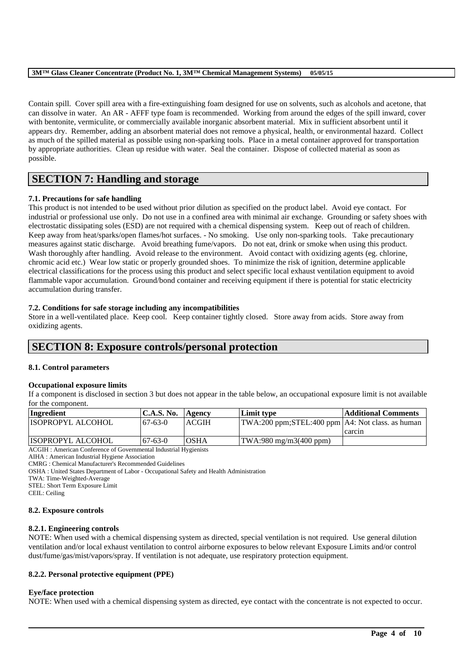Contain spill. Cover spill area with a fire-extinguishing foam designed for use on solvents, such as alcohols and acetone, that can dissolve in water. An AR - AFFF type foam is recommended. Working from around the edges of the spill inward, cover with bentonite, vermiculite, or commercially available inorganic absorbent material. Mix in sufficient absorbent until it appears dry. Remember, adding an absorbent material does not remove a physical, health, or environmental hazard. Collect as much of the spilled material as possible using non-sparking tools. Place in a metal container approved for transportation by appropriate authorities. Clean up residue with water. Seal the container. Dispose of collected material as soon as possible.

# **SECTION 7: Handling and storage**

### **7.1. Precautions for safe handling**

This product is not intended to be used without prior dilution as specified on the product label. Avoid eye contact. For industrial or professional use only. Do not use in a confined area with minimal air exchange. Grounding or safety shoes with electrostatic dissipating soles (ESD) are not required with a chemical dispensing system. Keep out of reach of children. Keep away from heat/sparks/open flames/hot surfaces. - No smoking. Use only non-sparking tools. Take precautionary measures against static discharge. Avoid breathing fume/vapors. Do not eat, drink or smoke when using this product. Wash thoroughly after handling. Avoid release to the environment. Avoid contact with oxidizing agents (eg. chlorine, chromic acid etc.) Wear low static or properly grounded shoes. To minimize the risk of ignition, determine applicable electrical classifications for the process using this product and select specific local exhaust ventilation equipment to avoid flammable vapor accumulation. Ground/bond container and receiving equipment if there is potential for static electricity accumulation during transfer.

### **7.2. Conditions for safe storage including any incompatibilities**

Store in a well-ventilated place. Keep cool. Keep container tightly closed. Store away from acids. Store away from oxidizing agents.

# **SECTION 8: Exposure controls/personal protection**

### **8.1. Control parameters**

### **Occupational exposure limits**

If a component is disclosed in section 3 but does not appear in the table below, an occupational exposure limit is not available for the component.

| Ingredient           | <b>C.A.S. No.</b> | Agency       | Limit type                                         | Additional Comments |
|----------------------|-------------------|--------------|----------------------------------------------------|---------------------|
| IISOPROPYL ALCOHOL   | $67-63-0$         | <b>ACGIH</b> | TWA:200 ppm;STEL:400 ppm   A4: Not class. as human |                     |
|                      |                   |              |                                                    | carcin              |
| IISOPROPYL ALCOHOL   | $-67-63-0$        | <b>OSHA</b>  | $\text{TWA}:980 \text{ mg/m}3(400 \text{ ppm})$    |                     |
| $\sim$ $\sim$<br>--- | .                 |              |                                                    |                     |

ACGIH : American Conference of Governmental Industrial Hygienists

CMRG : Chemical Manufacturer's Recommended Guidelines

OSHA : United States Department of Labor - Occupational Safety and Health Administration

STEL: Short Term Exposure Limit

CEIL: Ceiling

### **8.2. Exposure controls**

### **8.2.1. Engineering controls**

NOTE: When used with a chemical dispensing system as directed, special ventilation is not required. Use general dilution ventilation and/or local exhaust ventilation to control airborne exposures to below relevant Exposure Limits and/or control dust/fume/gas/mist/vapors/spray. If ventilation is not adequate, use respiratory protection equipment.

### **8.2.2. Personal protective equipment (PPE)**

### **Eye/face protection**

NOTE: When used with a chemical dispensing system as directed, eye contact with the concentrate is not expected to occur.

AIHA : American Industrial Hygiene Association

TWA: Time-Weighted-Average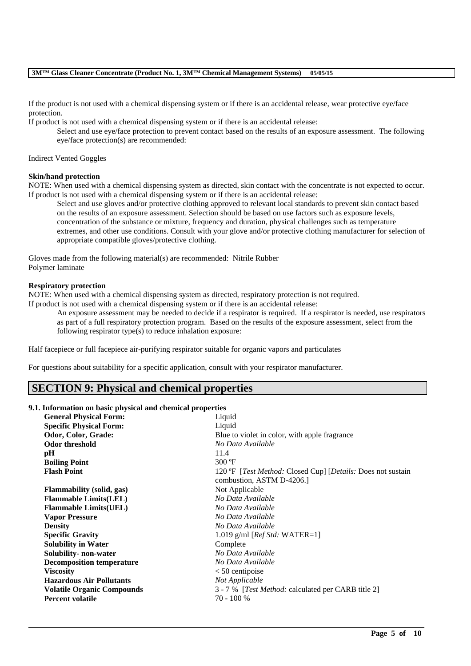If the product is not used with a chemical dispensing system or if there is an accidental release, wear protective eye/face protection.

If product is not used with a chemical dispensing system or if there is an accidental release:

Select and use eye/face protection to prevent contact based on the results of an exposure assessment. The following eye/face protection(s) are recommended:

Indirect Vented Goggles

### **Skin/hand protection**

NOTE: When used with a chemical dispensing system as directed, skin contact with the concentrate is not expected to occur. If product is not used with a chemical dispensing system or if there is an accidental release:

Select and use gloves and/or protective clothing approved to relevant local standards to prevent skin contact based on the results of an exposure assessment. Selection should be based on use factors such as exposure levels, concentration of the substance or mixture, frequency and duration, physical challenges such as temperature extremes, and other use conditions. Consult with your glove and/or protective clothing manufacturer for selection of appropriate compatible gloves/protective clothing.

Gloves made from the following material(s) are recommended: Nitrile Rubber Polymer laminate

#### **Respiratory protection**

NOTE: When used with a chemical dispensing system as directed, respiratory protection is not required. If product is not used with a chemical dispensing system or if there is an accidental release:

An exposure assessment may be needed to decide if a respirator is required. If a respirator is needed, use respirators as part of a full respiratory protection program. Based on the results of the exposure assessment, select from the following respirator type(s) to reduce inhalation exposure:

Half facepiece or full facepiece air-purifying respirator suitable for organic vapors and particulates

For questions about suitability for a specific application, consult with your respirator manufacturer.

### **SECTION 9: Physical and chemical properties**

### **9.1. Information on basic physical and chemical properties**

| <b>General Physical Form:</b>     | Liquid                                                      |
|-----------------------------------|-------------------------------------------------------------|
| <b>Specific Physical Form:</b>    | Liquid                                                      |
| Odor, Color, Grade:               | Blue to violet in color, with apple fragrance               |
| <b>Odor threshold</b>             | No Data Available                                           |
| pH                                | 11.4                                                        |
| <b>Boiling Point</b>              | $300 \text{°F}$                                             |
| <b>Flash Point</b>                | 120 °F [Test Method: Closed Cup] [Details: Does not sustain |
|                                   | combustion, ASTM D-4206.                                    |
| <b>Flammability</b> (solid, gas)  | Not Applicable                                              |
| <b>Flammable Limits(LEL)</b>      | No Data Available                                           |
| <b>Flammable Limits(UEL)</b>      | No Data Available                                           |
| <b>Vapor Pressure</b>             | No Data Available                                           |
| <b>Density</b>                    | No Data Available                                           |
| <b>Specific Gravity</b>           | 1.019 g/ml [ $Ref Std: WATER=1$ ]                           |
| <b>Solubility in Water</b>        | Complete                                                    |
| Solubility- non-water             | No Data Available                                           |
| <b>Decomposition temperature</b>  | No Data Available                                           |
| <b>Viscosity</b>                  | $< 50$ centipoise                                           |
| <b>Hazardous Air Pollutants</b>   | Not Applicable                                              |
| <b>Volatile Organic Compounds</b> | 3 - 7 % [ <i>Test Method:</i> calculated per CARB title 2]  |
| <b>Percent volatile</b>           | 70 - 100 %                                                  |
|                                   |                                                             |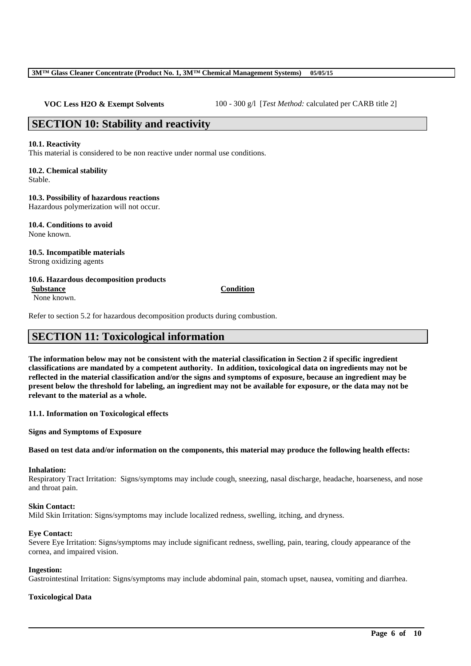**VOC Less H2O & Exempt Solvents** 100 - 300 g/l [*Test Method: calculated per CARB title 2*]

# **SECTION 10: Stability and reactivity**

### **10.1. Reactivity**

This material is considered to be non reactive under normal use conditions.

# **10.2. Chemical stability**

Stable.

### **10.3. Possibility of hazardous reactions**

Hazardous polymerization will not occur.

**10.4. Conditions to avoid** None known.

### **10.5. Incompatible materials** Strong oxidizing agents

### **10.6. Hazardous decomposition products Substance Condition**

None known.

Refer to section 5.2 for hazardous decomposition products during combustion.

# **SECTION 11: Toxicological information**

**The information below may not be consistent with the material classification in Section 2 if specific ingredient classifications are mandated by a competent authority. In addition, toxicological data on ingredients may not be reflected in the material classification and/or the signs and symptoms of exposure, because an ingredient may be present below the threshold for labeling, an ingredient may not be available for exposure, or the data may not be relevant to the material as a whole.**

**11.1. Information on Toxicological effects**

**Signs and Symptoms of Exposure**

### **Based on test data and/or information on the components, this material may produce the following health effects:**

### **Inhalation:**

Respiratory Tract Irritation: Signs/symptoms may include cough, sneezing, nasal discharge, headache, hoarseness, and nose and throat pain.

# **Skin Contact:**

Mild Skin Irritation: Signs/symptoms may include localized redness, swelling, itching, and dryness.

# **Eye Contact:**

Severe Eye Irritation: Signs/symptoms may include significant redness, swelling, pain, tearing, cloudy appearance of the cornea, and impaired vision.

### **Ingestion:**

Gastrointestinal Irritation: Signs/symptoms may include abdominal pain, stomach upset, nausea, vomiting and diarrhea.

\_\_\_\_\_\_\_\_\_\_\_\_\_\_\_\_\_\_\_\_\_\_\_\_\_\_\_\_\_\_\_\_\_\_\_\_\_\_\_\_\_\_\_\_\_\_\_\_\_\_\_\_\_\_\_\_\_\_\_\_\_\_\_\_\_\_\_\_\_\_\_\_\_\_\_\_\_\_\_\_\_\_\_\_\_\_\_\_\_\_

### **Toxicological Data**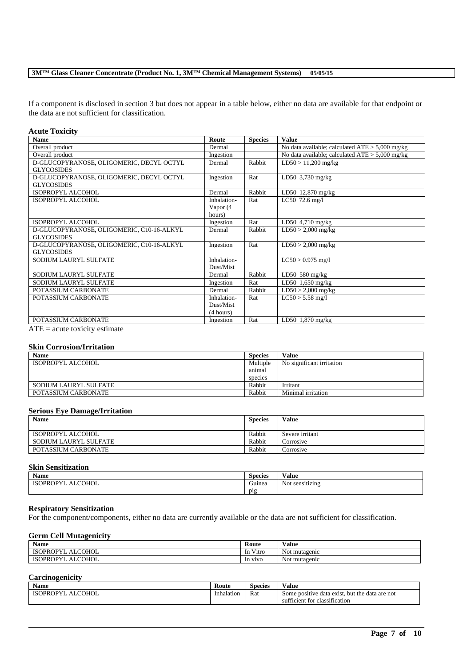If a component is disclosed in section 3 but does not appear in a table below, either no data are available for that endpoint or the data are not sufficient for classification.

### **Acute Toxicity**

| <b>Name</b>                               | Route       | <b>Species</b> | <b>Value</b>                                      |
|-------------------------------------------|-------------|----------------|---------------------------------------------------|
| Overall product                           | Dermal      |                | No data available; calculated $ATE > 5,000$ mg/kg |
| Overall product                           | Ingestion   |                | No data available; calculated $ATE > 5,000$ mg/kg |
| D-GLUCOPYRANOSE, OLIGOMERIC, DECYL OCTYL  | Dermal      | Rabbit         | $LD50 > 11,200$ mg/kg                             |
| <b>GLYCOSIDES</b>                         |             |                |                                                   |
| D-GLUCOPYRANOSE, OLIGOMERIC, DECYL OCTYL  | Ingestion   | Rat            | LD50 $3,730$ mg/kg                                |
| <b>GLYCOSIDES</b>                         |             |                |                                                   |
| ISOPROPYL ALCOHOL                         | Dermal      | Rabbit         | LD50 12,870 mg/kg                                 |
| ISOPROPYL ALCOHOL                         | Inhalation- | Rat            | LC50 $72.6$ mg/l                                  |
|                                           | Vapor (4    |                |                                                   |
|                                           | hours)      |                |                                                   |
| ISOPROPYL ALCOHOL                         | Ingestion   | Rat            | LD50 $4,710$ mg/kg                                |
| D-GLUCOPYRANOSE, OLIGOMERIC, C10-16-ALKYL | Dermal      | Rabbit         | $LD50 > 2,000$ mg/kg                              |
| <b>GLYCOSIDES</b>                         |             |                |                                                   |
| D-GLUCOPYRANOSE, OLIGOMERIC, C10-16-ALKYL | Ingestion   | Rat            | $LD50 > 2,000$ mg/kg                              |
| <b>GLYCOSIDES</b>                         |             |                |                                                   |
| SODIUM LAURYL SULFATE                     | Inhalation- |                | $LC50 > 0.975$ mg/l                               |
|                                           | Dust/Mist   |                |                                                   |
| SODIUM LAURYL SULFATE                     | Dermal      | Rabbit         | LD50 $580$ mg/kg                                  |
| SODIUM LAURYL SULFATE                     | Ingestion   | Rat            | $LD50$ 1,650 mg/kg                                |
| POTASSIUM CARBONATE                       | Dermal      | Rabbit         | $LD50 > 2,000$ mg/kg                              |
| POTASSIUM CARBONATE                       | Inhalation- | Rat            | $LC50 > 5.58$ mg/l                                |
|                                           | Dust/Mist   |                |                                                   |
|                                           | (4 hours)   |                |                                                   |
| POTASSIUM CARBONATE                       | Ingestion   | Rat            | LD50 $1,870$ mg/kg                                |
| $ATE = acute$ toxicity estimate           |             |                |                                                   |

### **Skin Corrosion/Irritation**

| <b>Name</b>           | <b>Species</b> | <b>Value</b>              |
|-----------------------|----------------|---------------------------|
| ISOPROPYL ALCOHOL     | Multiple       | No significant irritation |
|                       | animal         |                           |
|                       | species        |                           |
| SODIUM LAURYL SULFATE | Rabbit         | Irritant                  |
| POTASSIUM CARBONATE   | Rabbit         | Minimal irritation        |

### **Serious Eye Damage/Irritation**

| <b>Name</b>           | <b>Species</b> | Value           |
|-----------------------|----------------|-----------------|
| ISOPROPYL ALCOHOL     | Rabbit         | Severe irritant |
| SODIUM LAURYL SULFATE | Rabbit         | Corrosive       |
| POTASSIUM CARBONATE   | Rabbit         | Corrosive       |

### **Skin Sensitization**

| Name                               | $\sim$<br><b>Species</b> | ∕ alue                                |
|------------------------------------|--------------------------|---------------------------------------|
| <b>ALCOHOL</b><br><b>ISOPROPYI</b> | $\sqrt{2}$<br>Guinea     | $\sim$ $\sim$<br>: sensitizing<br>Not |
|                                    | pig                      |                                       |

### **Respiratory Sensitization**

For the component/components, either no data are currently available or the data are not sufficient for classification.

### **Germ Cell Mutagenicity**

| $\bullet$ $\bullet$<br>Name             | Route        | Value                          |
|-----------------------------------------|--------------|--------------------------------|
| <b>ISOPROPYI</b><br><b>COHOL</b><br>ALC | Vitro<br>-In | Not mutagenic                  |
| <b>COHOL</b><br><b>ISOPROPYI</b><br>ALC | In vivo      | $\sim$ $\sim$<br>Not mutagenic |

### **Carcinogenicity**

| <b>Name</b>                         | Route      | <b>Species</b> | Value                                                                         |
|-------------------------------------|------------|----------------|-------------------------------------------------------------------------------|
| <b>COHOL</b><br><b>OPROPY</b><br>ΔI | Inhalation | Rat<br>.       | but the<br>data are not<br>Some positive<br>data<br>र exist.                  |
|                                     |            |                | $\sim$<br>$\sim$ $\sim$<br>classification <sup>.</sup><br>icient for<br>-sutt |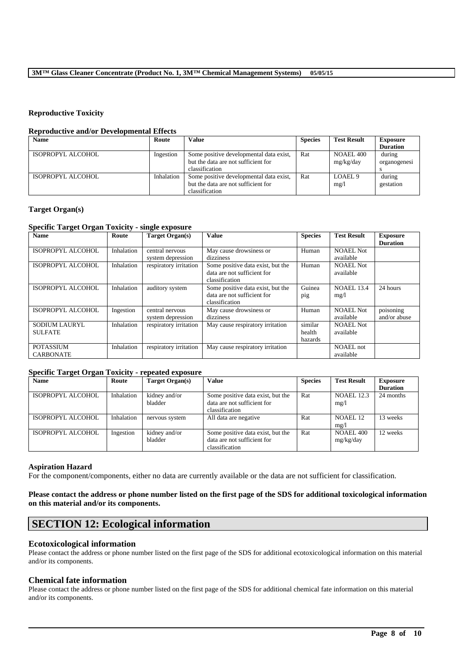### **Reproductive Toxicity**

### **Reproductive and/or Developmental Effects**

| <b>Name</b>       | Route      | Value                                   | <b>Species</b> | <b>Test Result</b> | <b>Exposure</b> |
|-------------------|------------|-----------------------------------------|----------------|--------------------|-----------------|
|                   |            |                                         |                |                    | <b>Duration</b> |
| ISOPROPYL ALCOHOL | Ingestion  | Some positive developmental data exist, | Rat            | NOAEL 400          | during          |
|                   |            | but the data are not sufficient for     |                | mg/kg/day          | organogenesi    |
|                   |            | classification                          |                |                    |                 |
| ISOPROPYL ALCOHOL | Inhalation | Some positive developmental data exist, | Rat            | LOAEL <sub>9</sub> | during          |
|                   |            | but the data are not sufficient for     |                | mg/l               | gestation       |
|                   |            | classification                          |                |                    |                 |

### **Target Organ(s)**

### **Specific Target Organ Toxicity - single exposure**

| <b>Name</b>          | Route      | Target Organ(s)        | <b>Value</b>                      | <b>Species</b> | <b>Test Result</b> | <b>Exposure</b> |
|----------------------|------------|------------------------|-----------------------------------|----------------|--------------------|-----------------|
|                      |            |                        |                                   |                |                    | <b>Duration</b> |
| ISOPROPYL ALCOHOL    | Inhalation | central nervous        | May cause drowsiness or           | Human          | NOAEL Not          |                 |
|                      |            | system depression      | dizziness                         |                | available          |                 |
| ISOPROPYL ALCOHOL    | Inhalation | respiratory irritation | Some positive data exist, but the | Human          | <b>NOAEL Not</b>   |                 |
|                      |            |                        | data are not sufficient for       |                | available          |                 |
|                      |            |                        | classification                    |                |                    |                 |
| ISOPROPYL ALCOHOL    | Inhalation | auditory system        | Some positive data exist, but the | Guinea         | <b>NOAEL 13.4</b>  | 24 hours        |
|                      |            |                        | data are not sufficient for       | pig            | mg/1               |                 |
|                      |            |                        | classification                    |                |                    |                 |
| ISOPROPYL ALCOHOL    | Ingestion  | central nervous        | May cause drowsiness or           | Human          | <b>NOAEL Not</b>   | poisoning       |
|                      |            | system depression      | dizziness                         |                | available          | and/or abuse    |
| <b>SODIUM LAURYL</b> | Inhalation | respiratory irritation | May cause respiratory irritation  | similar        | <b>NOAEL Not</b>   |                 |
| <b>SULFATE</b>       |            |                        |                                   | health         | available          |                 |
|                      |            |                        |                                   | hazards        |                    |                 |
| <b>POTASSIUM</b>     | Inhalation | respiratory irritation | May cause respiratory irritation  |                | <b>NOAEL</b> not   |                 |
| <b>CARBONATE</b>     |            |                        |                                   |                | available          |                 |

### **Specific Target Organ Toxicity - repeated exposure**

| <b>Name</b>       | Route      | Target Organ(s) | Value                             | <b>Species</b> | <b>Test Result</b>  | <b>Exposure</b> |
|-------------------|------------|-----------------|-----------------------------------|----------------|---------------------|-----------------|
|                   |            |                 |                                   |                |                     | <b>Duration</b> |
| ISOPROPYL ALCOHOL | Inhalation | kidney and/or   | Some positive data exist, but the | Rat            | <b>NOAEL 12.3</b>   | 24 months       |
|                   |            | bladder         | data are not sufficient for       |                | mg/1                |                 |
|                   |            |                 | classification                    |                |                     |                 |
| ISOPROPYL ALCOHOL | Inhalation | nervous system  | All data are negative             | Rat            | NOAEL <sub>12</sub> | 13 weeks        |
|                   |            |                 |                                   |                | mg/1                |                 |
| ISOPROPYL ALCOHOL | Ingestion  | kidney and/or   | Some positive data exist, but the | Rat            | NOAEL 400           | 12 weeks        |
|                   |            | bladder         | data are not sufficient for       |                | mg/kg/day           |                 |
|                   |            |                 | classification                    |                |                     |                 |

### **Aspiration Hazard**

For the component/components, either no data are currently available or the data are not sufficient for classification.

### **Please contact the address or phone number listed on the first page of the SDS for additional toxicological information on this material and/or its components.**

# **SECTION 12: Ecological information**

### **Ecotoxicological information**

Please contact the address or phone number listed on the first page of the SDS for additional ecotoxicological information on this material and/or its components.

### **Chemical fate information**

Please contact the address or phone number listed on the first page of the SDS for additional chemical fate information on this material and/or its components.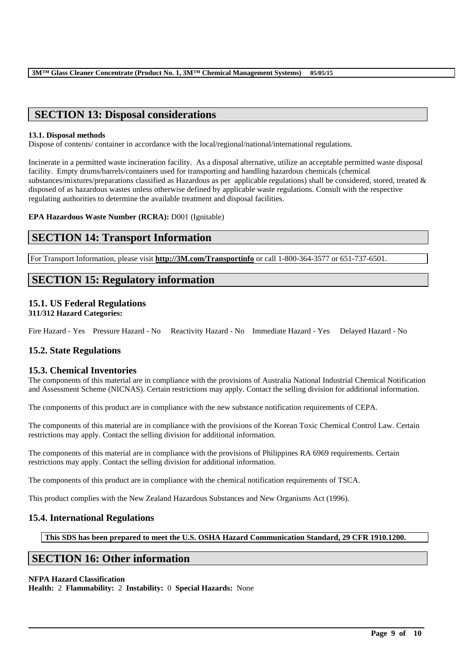# **SECTION 13: Disposal considerations**

### **13.1. Disposal methods**

Dispose of contents/ container in accordance with the local/regional/national/international regulations.

Incinerate in a permitted waste incineration facility. As a disposal alternative, utilize an acceptable permitted waste disposal facility. Empty drums/barrels/containers used for transporting and handling hazardous chemicals (chemical substances/mixtures/preparations classified as Hazardous as per applicable regulations) shall be considered, stored, treated & disposed of as hazardous wastes unless otherwise defined by applicable waste regulations. Consult with the respective regulating authorities to determine the available treatment and disposal facilities.

**EPA Hazardous Waste Number (RCRA):** D001 (Ignitable)

# **SECTION 14: Transport Information**

For Transport Information, please visit **http://3M.com/Transportinfo** or call 1-800-364-3577 or 651-737-6501.

# **SECTION 15: Regulatory information**

### **15.1. US Federal Regulations 311/312 Hazard Categories:**

Fire Hazard - Yes Pressure Hazard - No Reactivity Hazard - No Immediate Hazard - Yes Delayed Hazard - No

# **15.2. State Regulations**

### **15.3. Chemical Inventories**

The components of this material are in compliance with the provisions of Australia National Industrial Chemical Notification and Assessment Scheme (NICNAS). Certain restrictions may apply. Contact the selling division for additional information.

The components of this product are in compliance with the new substance notification requirements of CEPA.

The components of this material are in compliance with the provisions of the Korean Toxic Chemical Control Law. Certain restrictions may apply. Contact the selling division for additional information.

The components of this material are in compliance with the provisions of Philippines RA 6969 requirements. Certain restrictions may apply. Contact the selling division for additional information.

The components of this product are in compliance with the chemical notification requirements of TSCA.

This product complies with the New Zealand Hazardous Substances and New Organisms Act (1996).

### **15.4. International Regulations**

**This SDS has been prepared to meet the U.S. OSHA Hazard Communication Standard, 29 CFR 1910.1200.**

\_\_\_\_\_\_\_\_\_\_\_\_\_\_\_\_\_\_\_\_\_\_\_\_\_\_\_\_\_\_\_\_\_\_\_\_\_\_\_\_\_\_\_\_\_\_\_\_\_\_\_\_\_\_\_\_\_\_\_\_\_\_\_\_\_\_\_\_\_\_\_\_\_\_\_\_\_\_\_\_\_\_\_\_\_\_\_\_\_\_

# **SECTION 16: Other information**

### **NFPA Hazard Classification**

**Health:** 2 **Flammability:** 2 **Instability:** 0 **Special Hazards:** None